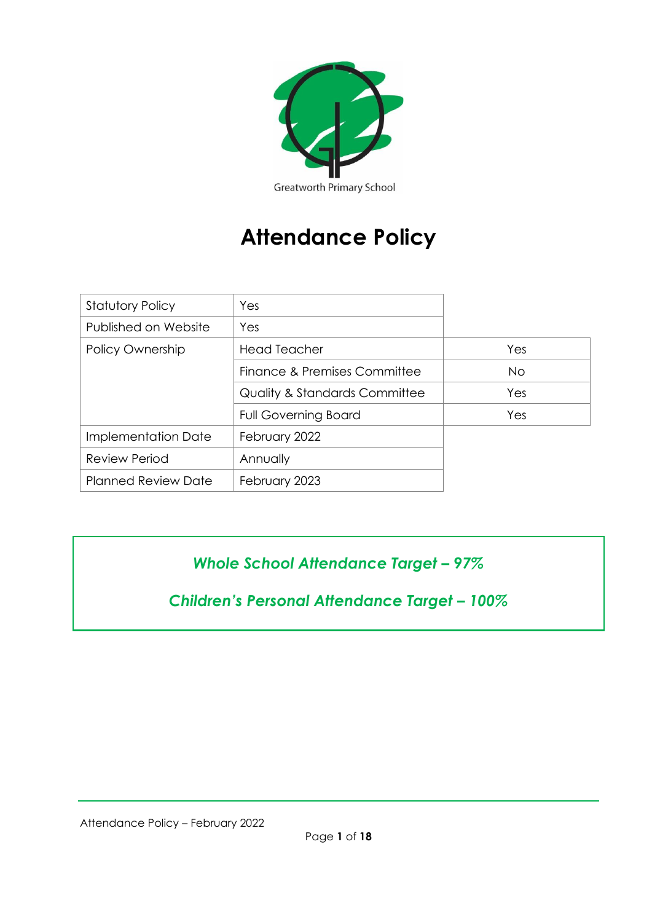

# **Attendance Policy**

| <b>Statutory Policy</b>    | Yes                                      |     |
|----------------------------|------------------------------------------|-----|
| Published on Website       | Yes                                      |     |
| Policy Ownership           | <b>Head Teacher</b>                      | Yes |
|                            | Finance & Premises Committee             | No. |
|                            | <b>Quality &amp; Standards Committee</b> | Yes |
|                            | <b>Full Governing Board</b>              | Yes |
| Implementation Date        | February 2022                            |     |
| <b>Review Period</b>       | Annually                                 |     |
| <b>Planned Review Date</b> | February 2023                            |     |

## *Whole School Attendance Target – 97%*

*Children's Personal Attendance Target – 100%*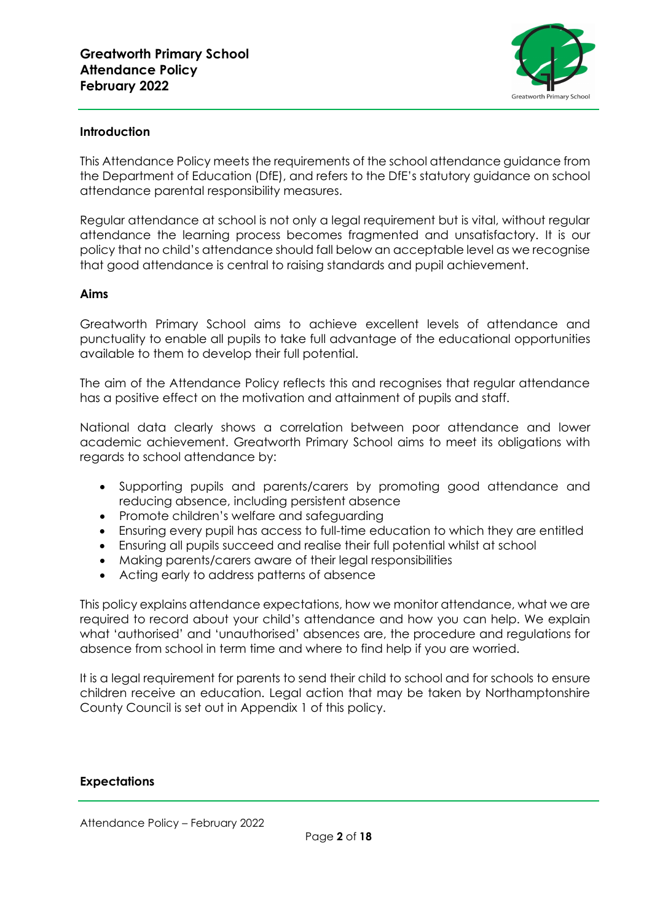

#### **Introduction**

This Attendance Policy meets the requirements of the school attendance guidance from the Department of Education (DfE), and refers to the DfE's statutory guidance on school attendance parental responsibility measures.

Regular attendance at school is not only a legal requirement but is vital, without regular attendance the learning process becomes fragmented and unsatisfactory. It is our policy that no child's attendance should fall below an acceptable level as we recognise that good attendance is central to raising standards and pupil achievement.

#### **Aims**

Greatworth Primary School aims to achieve excellent levels of attendance and punctuality to enable all pupils to take full advantage of the educational opportunities available to them to develop their full potential.

The aim of the Attendance Policy reflects this and recognises that regular attendance has a positive effect on the motivation and attainment of pupils and staff.

National data clearly shows a correlation between poor attendance and lower academic achievement. Greatworth Primary School aims to meet its obligations with regards to school attendance by:

- Supporting pupils and parents/carers by promoting good attendance and reducing absence, including persistent absence
- Promote children's welfare and safeguarding
- Ensuring every pupil has access to full-time education to which they are entitled
- Ensuring all pupils succeed and realise their full potential whilst at school
- Making parents/carers aware of their legal responsibilities
- Acting early to address patterns of absence

This policy explains attendance expectations, how we monitor attendance, what we are required to record about your child's attendance and how you can help. We explain what 'authorised' and 'unauthorised' absences are, the procedure and regulations for absence from school in term time and where to find help if you are worried.

It is a legal requirement for parents to send their child to school and for schools to ensure children receive an education. Legal action that may be taken by Northamptonshire County Council is set out in Appendix 1 of this policy.

#### **Expectations**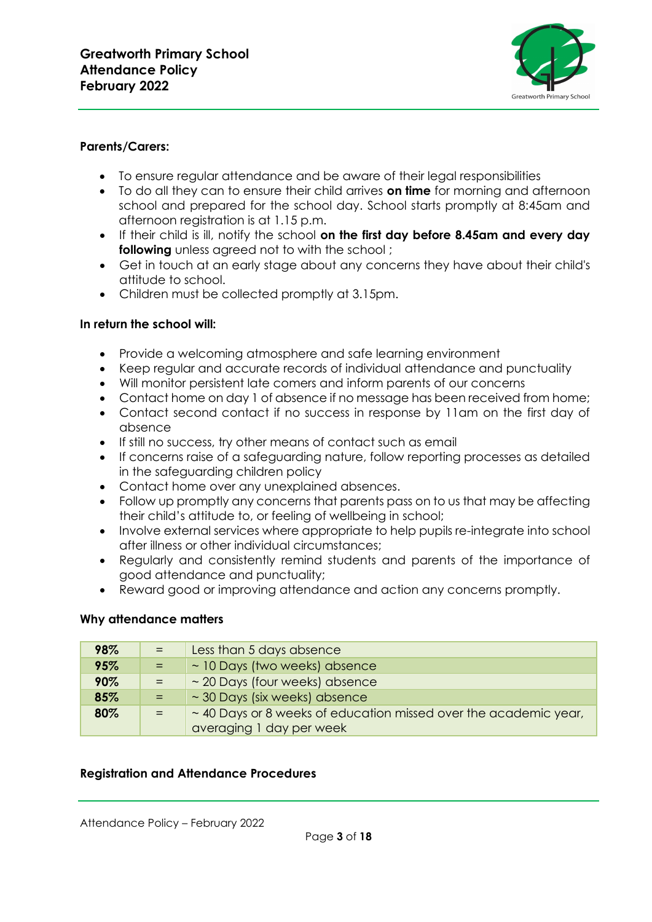

## **Parents/Carers:**

- To ensure regular attendance and be aware of their legal responsibilities
- To do all they can to ensure their child arrives **on time** for morning and afternoon school and prepared for the school day. School starts promptly at 8:45am and afternoon registration is at 1.15 p.m.
- If their child is ill, notify the school **on the first day before 8.45am and every day following** unless agreed not to with the school ;
- Get in touch at an early stage about any concerns they have about their child's attitude to school.
- Children must be collected promptly at 3.15pm.

## **In return the school will:**

- Provide a welcoming atmosphere and safe learning environment
- Keep regular and accurate records of individual attendance and punctuality
- Will monitor persistent late comers and inform parents of our concerns
- Contact home on day 1 of absence if no message has been received from home;
- Contact second contact if no success in response by 11am on the first day of absence
- If still no success, try other means of contact such as email
- If concerns raise of a safeguarding nature, follow reporting processes as detailed in the safeguarding children policy
- Contact home over any unexplained absences.
- Follow up promptly any concerns that parents pass on to us that may be affecting their child's attitude to, or feeling of wellbeing in school;
- Involve external services where appropriate to help pupils re-integrate into school after illness or other individual circumstances;
- Regularly and consistently remind students and parents of the importance of good attendance and punctuality;
- Reward good or improving attendance and action any concerns promptly.

#### **Why attendance matters**

| 98% | $=$ | Less than 5 days absence                                                                          |
|-----|-----|---------------------------------------------------------------------------------------------------|
| 95% | $=$ | ~ 10 Days (two weeks) absence                                                                     |
| 90% |     | ~ 20 Days (four weeks) absence                                                                    |
| 85% |     | $\sim$ 30 Days (six weeks) absence                                                                |
| 80% |     | $\sim$ 40 Days or 8 weeks of education missed over the academic year,<br>averaging 1 day per week |

#### **Registration and Attendance Procedures**

Attendance Policy – February 2022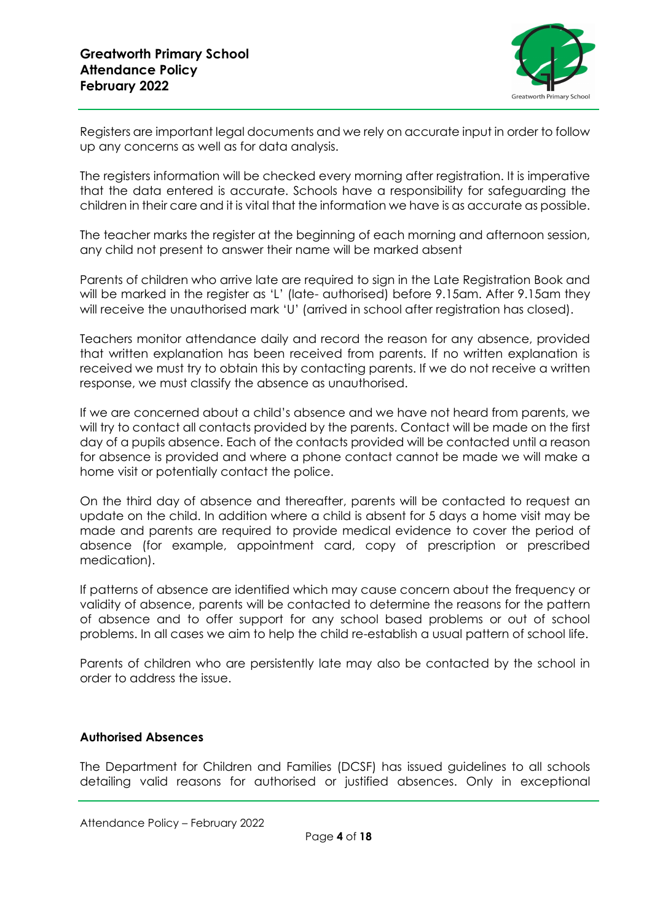

Registers are important legal documents and we rely on accurate input in order to follow up any concerns as well as for data analysis.

The registers information will be checked every morning after registration. It is imperative that the data entered is accurate. Schools have a responsibility for safeguarding the children in their care and it is vital that the information we have is as accurate as possible.

The teacher marks the register at the beginning of each morning and afternoon session, any child not present to answer their name will be marked absent

Parents of children who arrive late are required to sign in the Late Registration Book and will be marked in the register as 'L' (late- authorised) before 9.15am. After 9.15am they will receive the unauthorised mark 'U' (arrived in school after registration has closed).

Teachers monitor attendance daily and record the reason for any absence, provided that written explanation has been received from parents. If no written explanation is received we must try to obtain this by contacting parents. If we do not receive a written response, we must classify the absence as unauthorised.

If we are concerned about a child's absence and we have not heard from parents, we will try to contact all contacts provided by the parents. Contact will be made on the first day of a pupils absence. Each of the contacts provided will be contacted until a reason for absence is provided and where a phone contact cannot be made we will make a home visit or potentially contact the police.

On the third day of absence and thereafter, parents will be contacted to request an update on the child. In addition where a child is absent for 5 days a home visit may be made and parents are required to provide medical evidence to cover the period of absence (for example, appointment card, copy of prescription or prescribed medication).

If patterns of absence are identified which may cause concern about the frequency or validity of absence, parents will be contacted to determine the reasons for the pattern of absence and to offer support for any school based problems or out of school problems. In all cases we aim to help the child re-establish a usual pattern of school life.

Parents of children who are persistently late may also be contacted by the school in order to address the issue.

## **Authorised Absences**

The Department for Children and Families (DCSF) has issued guidelines to all schools detailing valid reasons for authorised or justified absences. Only in exceptional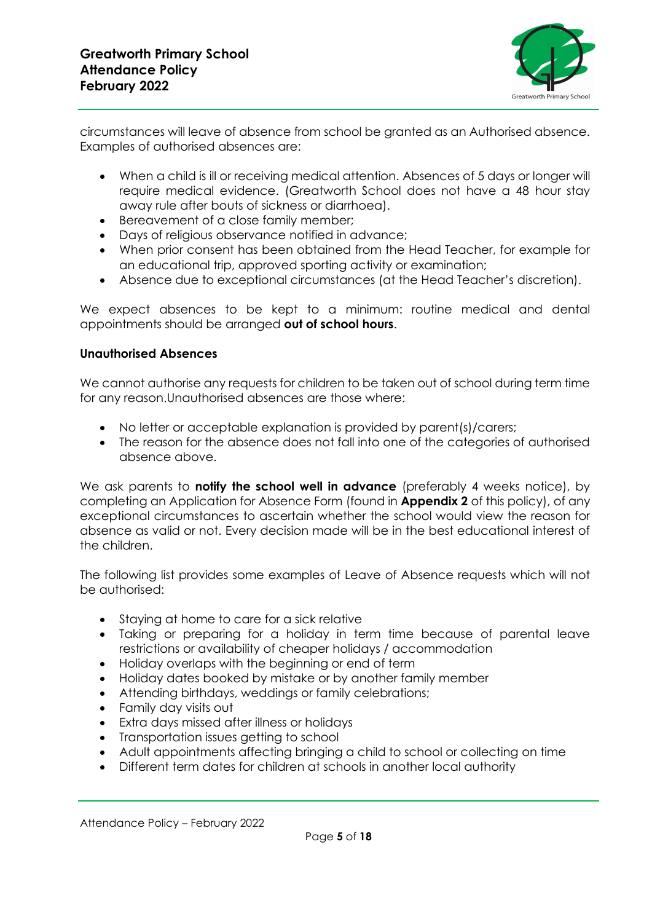

circumstances will leave of absence from school be granted as an Authorised absence. Examples of authorised absences are:

- When a child is ill or receiving medical attention. Absences of 5 days or longer will require medical evidence. (Greatworth School does not have a 48 hour stay away rule after bouts of sickness or diarrhoea).
- Bereavement of a close family member;
- Days of religious observance notified in advance;
- When prior consent has been obtained from the Head Teacher, for example for an educational trip, approved sporting activity or examination;
- Absence due to exceptional circumstances (at the Head Teacher's discretion).

We expect absences to be kept to a minimum: routine medical and dental appointments should be arranged **out of school hours**.

## **Unauthorised Absences**

We cannot authorise any requests for children to be taken out of school during term time for any reason.Unauthorised absences are those where:

- No letter or acceptable explanation is provided by parent(s)/carers;
- The reason for the absence does not fall into one of the categories of authorised absence above.

We ask parents to **notify the school well in advance** (preferably 4 weeks notice), by completing an Application for Absence Form (found in **Appendix 2** of this policy), of any exceptional circumstances to ascertain whether the school would view the reason for absence as valid or not. Every decision made will be in the best educational interest of the children.

The following list provides some examples of Leave of Absence requests which will not be authorised:

- Staying at home to care for a sick relative
- Taking or preparing for a holiday in term time because of parental leave restrictions or availability of cheaper holidays / accommodation
- Holiday overlaps with the beginning or end of term
- Holiday dates booked by mistake or by another family member
- Attending birthdays, weddings or family celebrations;
- Family day visits out
- Extra days missed after illness or holidays
- Transportation issues getting to school
- Adult appointments affecting bringing a child to school or collecting on time
- Different term dates for children at schools in another local authority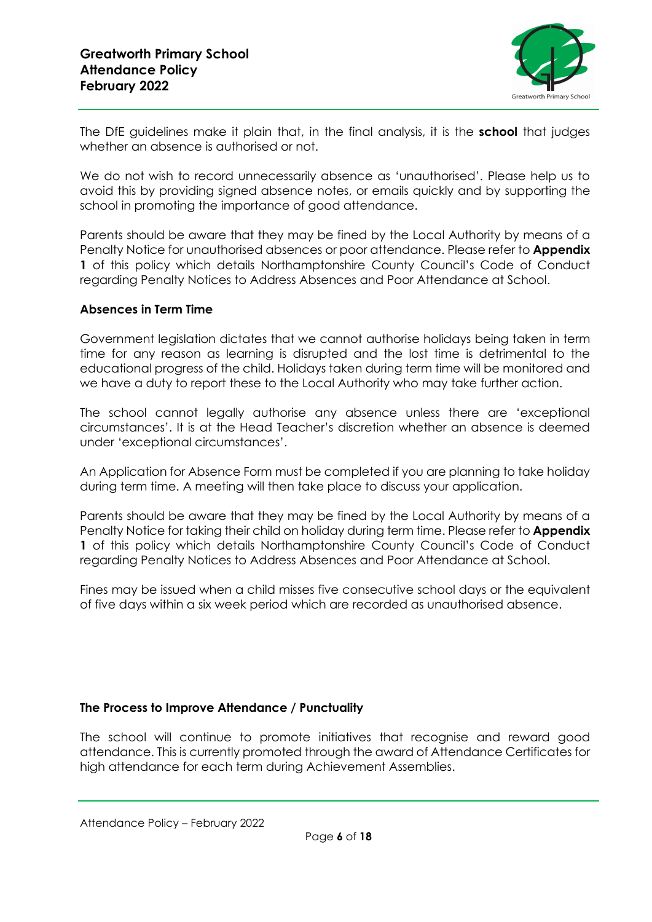

The DfE guidelines make it plain that, in the final analysis, it is the **school** that judges whether an absence is authorised or not.

We do not wish to record unnecessarily absence as 'unauthorised'. Please help us to avoid this by providing signed absence notes, or emails quickly and by supporting the school in promoting the importance of good attendance.

Parents should be aware that they may be fined by the Local Authority by means of a Penalty Notice for unauthorised absences or poor attendance. Please refer to **Appendix 1** of this policy which details Northamptonshire County Council's Code of Conduct regarding Penalty Notices to Address Absences and Poor Attendance at School.

#### **Absences in Term Time**

Government legislation dictates that we cannot authorise holidays being taken in term time for any reason as learning is disrupted and the lost time is detrimental to the educational progress of the child. Holidays taken during term time will be monitored and we have a duty to report these to the Local Authority who may take further action.

The school cannot legally authorise any absence unless there are 'exceptional circumstances'. It is at the Head Teacher's discretion whether an absence is deemed under 'exceptional circumstances'.

An Application for Absence Form must be completed if you are planning to take holiday during term time. A meeting will then take place to discuss your application.

Parents should be aware that they may be fined by the Local Authority by means of a Penalty Notice for taking their child on holiday during term time. Please refer to **Appendix 1** of this policy which details Northamptonshire County Council's Code of Conduct regarding Penalty Notices to Address Absences and Poor Attendance at School.

Fines may be issued when a child misses five consecutive school days or the equivalent of five days within a six week period which are recorded as unauthorised absence.

## **The Process to Improve Attendance / Punctuality**

The school will continue to promote initiatives that recognise and reward good attendance. This is currently promoted through the award of Attendance Certificates for high attendance for each term during Achievement Assemblies.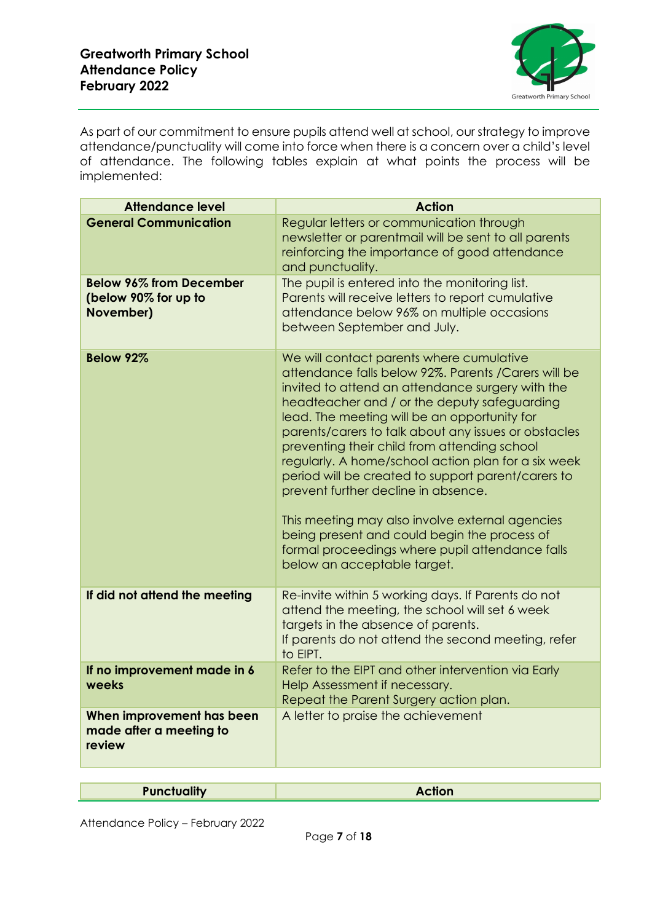

As part of our commitment to ensure pupils attend well at school, our strategy to improve attendance/punctuality will come into force when there is a concern over a child's level of attendance. The following tables explain at what points the process will be implemented:

| <b>Attendance level</b>                                             | <b>Action</b>                                                                                                                                                                                                                                                                                                                                                                                                                                                                                                                                                                                                                                                                                         |
|---------------------------------------------------------------------|-------------------------------------------------------------------------------------------------------------------------------------------------------------------------------------------------------------------------------------------------------------------------------------------------------------------------------------------------------------------------------------------------------------------------------------------------------------------------------------------------------------------------------------------------------------------------------------------------------------------------------------------------------------------------------------------------------|
| <b>General Communication</b>                                        | Regular letters or communication through<br>newsletter or parentmail will be sent to all parents<br>reinforcing the importance of good attendance<br>and punctuality.                                                                                                                                                                                                                                                                                                                                                                                                                                                                                                                                 |
| <b>Below 96% from December</b><br>(below 90% for up to<br>November) | The pupil is entered into the monitoring list.<br>Parents will receive letters to report cumulative<br>attendance below 96% on multiple occasions<br>between September and July.                                                                                                                                                                                                                                                                                                                                                                                                                                                                                                                      |
| Below 92%                                                           | We will contact parents where cumulative<br>attendance falls below 92%. Parents / Carers will be<br>invited to attend an attendance surgery with the<br>headteacher and / or the deputy safeguarding<br>lead. The meeting will be an opportunity for<br>parents/carers to talk about any issues or obstacles<br>preventing their child from attending school<br>regularly. A home/school action plan for a six week<br>period will be created to support parent/carers to<br>prevent further decline in absence.<br>This meeting may also involve external agencies<br>being present and could begin the process of<br>formal proceedings where pupil attendance falls<br>below an acceptable target. |
| If did not attend the meeting                                       | Re-invite within 5 working days. If Parents do not<br>attend the meeting, the school will set 6 week<br>targets in the absence of parents.<br>If parents do not attend the second meeting, refer<br>to EIPT.                                                                                                                                                                                                                                                                                                                                                                                                                                                                                          |
| If no improvement made in 6<br>weeks                                | Refer to the EIPT and other intervention via Early<br>Help Assessment if necessary.<br>Repeat the Parent Surgery action plan.                                                                                                                                                                                                                                                                                                                                                                                                                                                                                                                                                                         |
| When improvement has been<br>made after a meeting to<br>review      | A letter to praise the achievement                                                                                                                                                                                                                                                                                                                                                                                                                                                                                                                                                                                                                                                                    |
|                                                                     |                                                                                                                                                                                                                                                                                                                                                                                                                                                                                                                                                                                                                                                                                                       |
| <b>Punctuality</b>                                                  | <b>Action</b>                                                                                                                                                                                                                                                                                                                                                                                                                                                                                                                                                                                                                                                                                         |

Attendance Policy – February 2022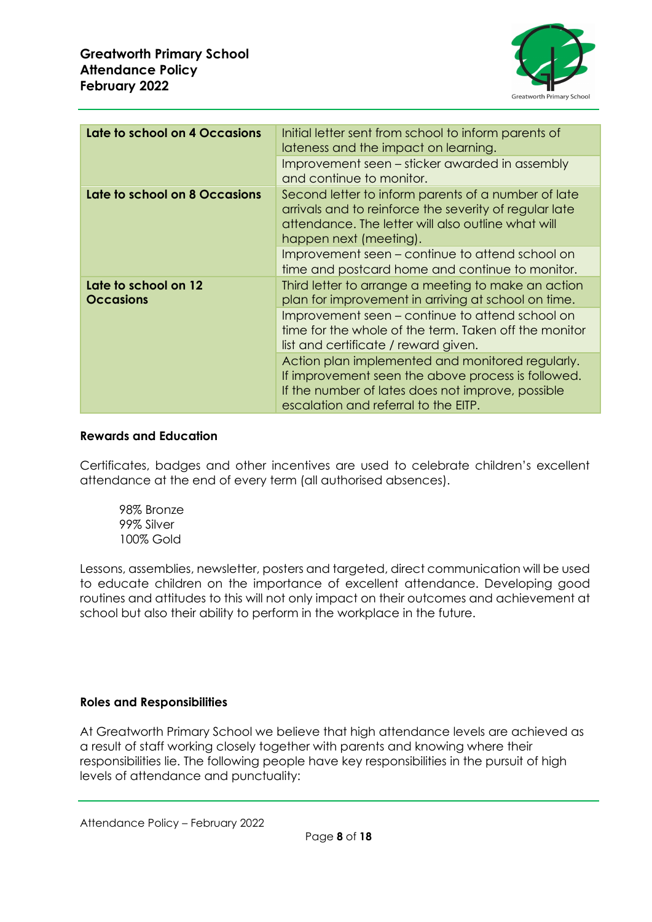

| Late to school on 4 Occasions            | Initial letter sent from school to inform parents of<br>lateness and the impact on learning.                                                                                                        |
|------------------------------------------|-----------------------------------------------------------------------------------------------------------------------------------------------------------------------------------------------------|
|                                          | Improvement seen - sticker awarded in assembly<br>and continue to monitor.                                                                                                                          |
| Late to school on 8 Occasions            | Second letter to inform parents of a number of late<br>arrivals and to reinforce the severity of regular late<br>attendance. The letter will also outline what will<br>happen next (meeting).       |
|                                          | Improvement seen – continue to attend school on<br>time and postcard home and continue to monitor.                                                                                                  |
| Late to school on 12<br><b>Occasions</b> | Third letter to arrange a meeting to make an action<br>plan for improvement in arriving at school on time.                                                                                          |
|                                          | Improvement seen – continue to attend school on<br>time for the whole of the term. Taken off the monitor<br>list and certificate / reward given.                                                    |
|                                          | Action plan implemented and monitored regularly.<br>If improvement seen the above process is followed.<br>If the number of lates does not improve, possible<br>escalation and referral to the EITP. |

#### **Rewards and Education**

Certificates, badges and other incentives are used to celebrate children's excellent attendance at the end of every term (all authorised absences).

98% Bronze 99% Silver 100% Gold

Lessons, assemblies, newsletter, posters and targeted, direct communication will be used to educate children on the importance of excellent attendance. Developing good routines and attitudes to this will not only impact on their outcomes and achievement at school but also their ability to perform in the workplace in the future.

## **Roles and Responsibilities**

At Greatworth Primary School we believe that high attendance levels are achieved as a result of staff working closely together with parents and knowing where their responsibilities lie. The following people have key responsibilities in the pursuit of high levels of attendance and punctuality: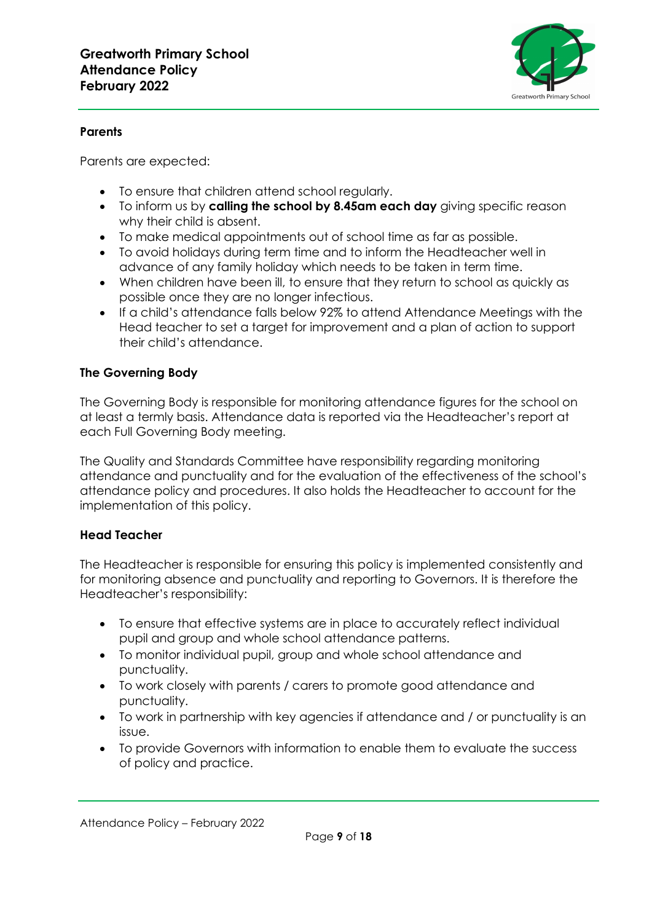

## **Parents**

Parents are expected:

- To ensure that children attend school regularly.
- To inform us by **calling the school by 8.45am each day** giving specific reason why their child is absent.
- To make medical appointments out of school time as far as possible.
- To avoid holidays during term time and to inform the Headteacher well in advance of any family holiday which needs to be taken in term time.
- When children have been ill, to ensure that they return to school as quickly as possible once they are no longer infectious.
- If a child's attendance falls below 92% to attend Attendance Meetings with the Head teacher to set a target for improvement and a plan of action to support their child's attendance.

## **The Governing Body**

The Governing Body is responsible for monitoring attendance figures for the school on at least a termly basis. Attendance data is reported via the Headteacher's report at each Full Governing Body meeting.

The Quality and Standards Committee have responsibility regarding monitoring attendance and punctuality and for the evaluation of the effectiveness of the school's attendance policy and procedures. It also holds the Headteacher to account for the implementation of this policy.

## **Head Teacher**

The Headteacher is responsible for ensuring this policy is implemented consistently and for monitoring absence and punctuality and reporting to Governors. It is therefore the Headteacher's responsibility:

- To ensure that effective systems are in place to accurately reflect individual pupil and group and whole school attendance patterns.
- To monitor individual pupil, group and whole school attendance and punctuality.
- To work closely with parents / carers to promote good attendance and punctuality.
- To work in partnership with key agencies if attendance and / or punctuality is an issue.
- To provide Governors with information to enable them to evaluate the success of policy and practice.

Attendance Policy – February 2022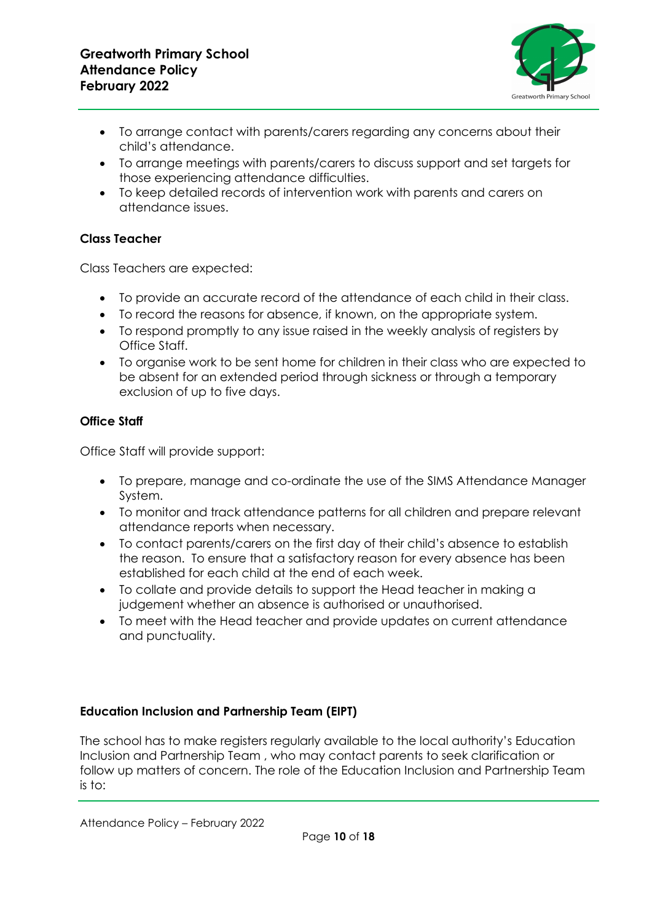

- To arrange contact with parents/carers regarding any concerns about their child's attendance.
- To arrange meetings with parents/carers to discuss support and set targets for those experiencing attendance difficulties.
- To keep detailed records of intervention work with parents and carers on attendance issues.

## **Class Teacher**

Class Teachers are expected:

- To provide an accurate record of the attendance of each child in their class.
- To record the reasons for absence, if known, on the appropriate system.
- To respond promptly to any issue raised in the weekly analysis of registers by Office Staff.
- To organise work to be sent home for children in their class who are expected to be absent for an extended period through sickness or through a temporary exclusion of up to five days.

## **Office Staff**

Office Staff will provide support:

- To prepare, manage and co-ordinate the use of the SIMS Attendance Manager System.
- To monitor and track attendance patterns for all children and prepare relevant attendance reports when necessary.
- To contact parents/carers on the first day of their child's absence to establish the reason. To ensure that a satisfactory reason for every absence has been established for each child at the end of each week.
- To collate and provide details to support the Head teacher in making a judgement whether an absence is authorised or unauthorised.
- To meet with the Head teacher and provide updates on current attendance and punctuality.

## **Education Inclusion and Partnership Team (EIPT)**

The school has to make registers regularly available to the local authority's Education Inclusion and Partnership Team , who may contact parents to seek clarification or follow up matters of concern. The role of the Education Inclusion and Partnership Team is to: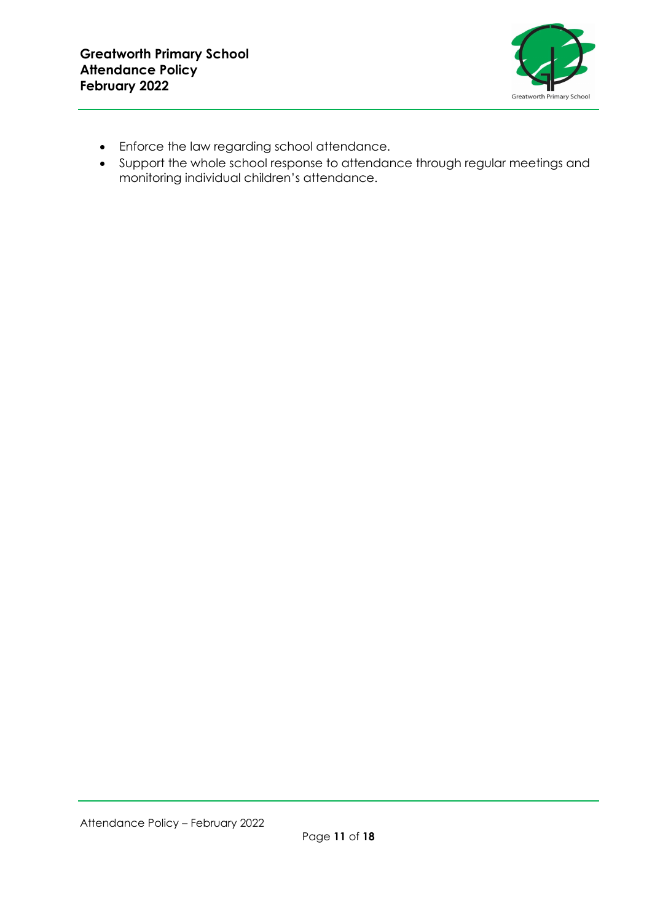

- Enforce the law regarding school attendance.
- Support the whole school response to attendance through regular meetings and monitoring individual children's attendance.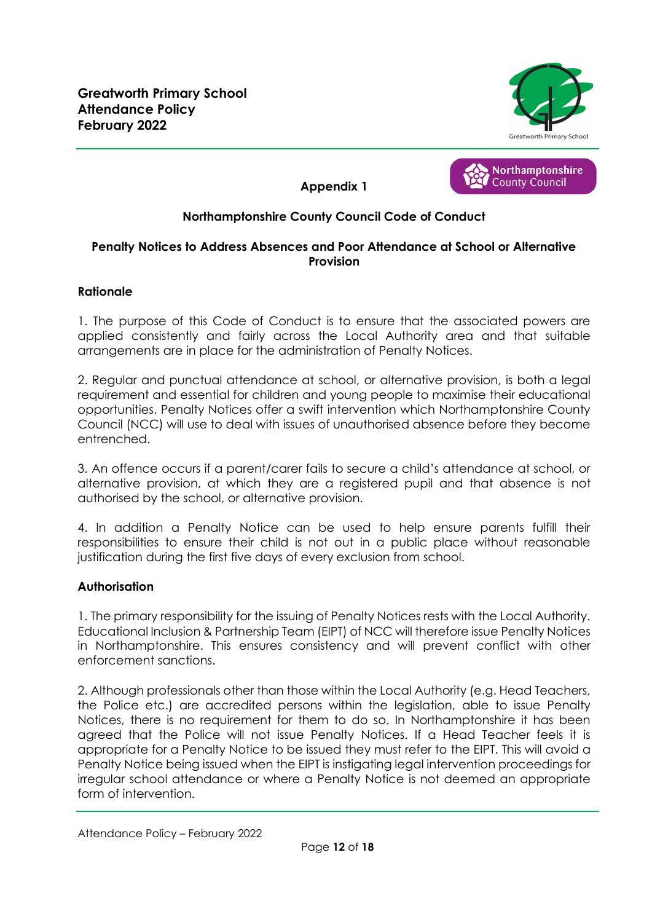





## **Northamptonshire County Council Code of Conduct**

## **Penalty Notices to Address Absences and Poor Attendance at School or Alternative Provision**

## **Rationale**

1. The purpose of this Code of Conduct is to ensure that the associated powers are applied consistently and fairly across the Local Authority area and that suitable arrangements are in place for the administration of Penalty Notices.

2. Regular and punctual attendance at school, or alternative provision, is both a legal requirement and essential for children and young people to maximise their educational opportunities. Penalty Notices offer a swift intervention which Northamptonshire County Council (NCC) will use to deal with issues of unauthorised absence before they become entrenched.

3. An offence occurs if a parent/carer fails to secure a child's attendance at school, or alternative provision, at which they are a registered pupil and that absence is not authorised by the school, or alternative provision.

4. In addition a Penalty Notice can be used to help ensure parents fulfill their responsibilities to ensure their child is not out in a public place without reasonable justification during the first five days of every exclusion from school.

## **Authorisation**

1. The primary responsibility for the issuing of Penalty Notices rests with the Local Authority. Educational Inclusion & Partnership Team (EIPT) of NCC will therefore issue Penalty Notices in Northamptonshire. This ensures consistency and will prevent conflict with other enforcement sanctions.

2. Although professionals other than those within the Local Authority (e.g. Head Teachers, the Police etc.) are accredited persons within the legislation, able to issue Penalty Notices, there is no requirement for them to do so. In Northamptonshire it has been agreed that the Police will not issue Penalty Notices. If a Head Teacher feels it is appropriate for a Penalty Notice to be issued they must refer to the EIPT. This will avoid a Penalty Notice being issued when the EIPT is instigating legal intervention proceedings for irregular school attendance or where a Penalty Notice is not deemed an appropriate form of intervention.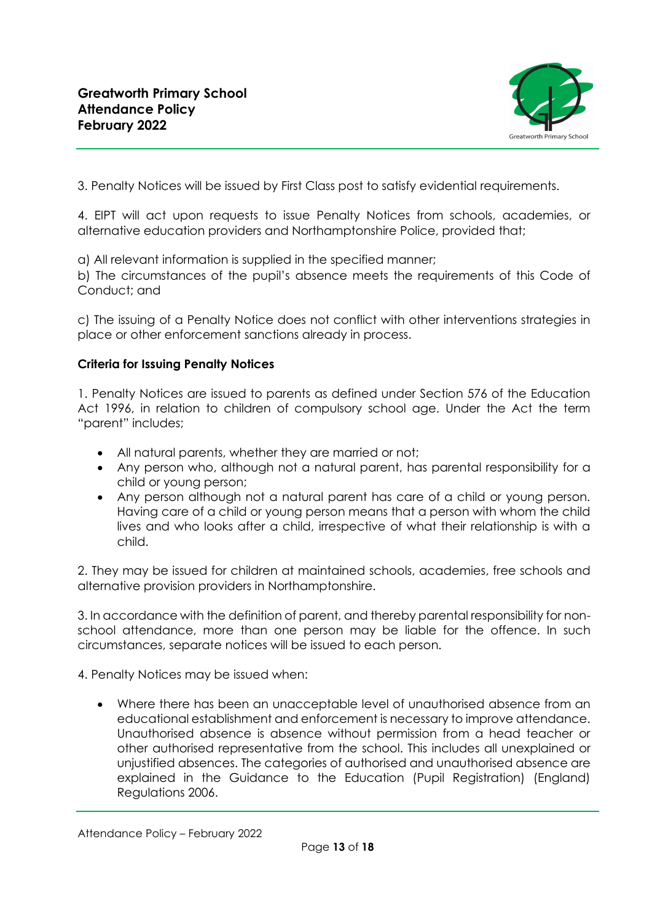

3. Penalty Notices will be issued by First Class post to satisfy evidential requirements.

4. EIPT will act upon requests to issue Penalty Notices from schools, academies, or alternative education providers and Northamptonshire Police, provided that;

a) All relevant information is supplied in the specified manner;

b) The circumstances of the pupil's absence meets the requirements of this Code of Conduct; and

c) The issuing of a Penalty Notice does not conflict with other interventions strategies in place or other enforcement sanctions already in process.

#### **Criteria for Issuing Penalty Notices**

1. Penalty Notices are issued to parents as defined under Section 576 of the Education Act 1996, in relation to children of compulsory school age. Under the Act the term "parent" includes;

- All natural parents, whether they are married or not;
- Any person who, although not a natural parent, has parental responsibility for a child or young person;
- Any person although not a natural parent has care of a child or young person. Having care of a child or young person means that a person with whom the child lives and who looks after a child, irrespective of what their relationship is with a child.

2. They may be issued for children at maintained schools, academies, free schools and alternative provision providers in Northamptonshire.

3. In accordance with the definition of parent, and thereby parental responsibility for nonschool attendance, more than one person may be liable for the offence. In such circumstances, separate notices will be issued to each person.

4. Penalty Notices may be issued when:

• Where there has been an unacceptable level of unauthorised absence from an educational establishment and enforcement is necessary to improve attendance. Unauthorised absence is absence without permission from a head teacher or other authorised representative from the school. This includes all unexplained or unjustified absences. The categories of authorised and unauthorised absence are explained in the Guidance to the Education (Pupil Registration) (England) Regulations 2006.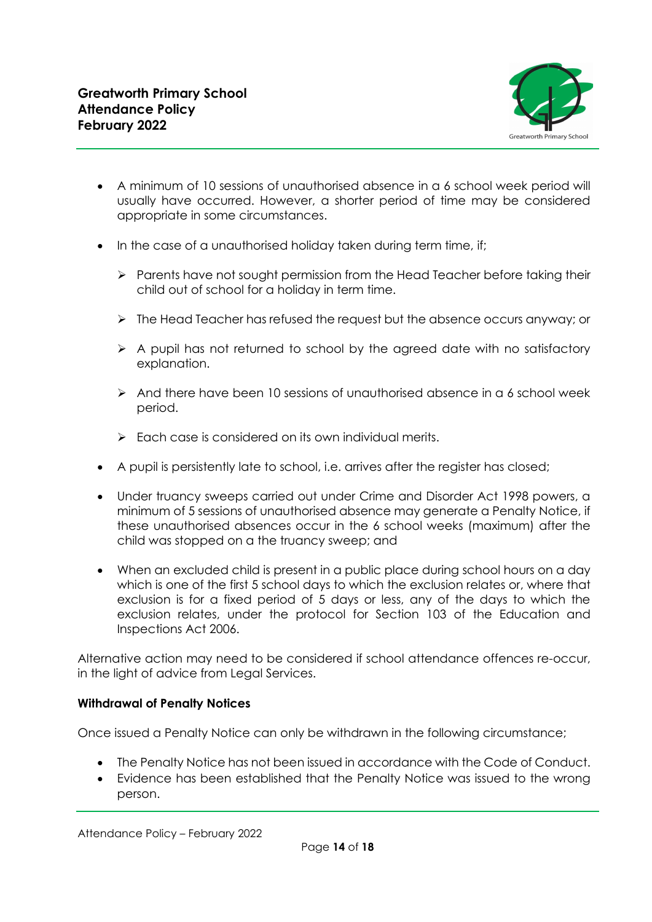

- A minimum of 10 sessions of unauthorised absence in a 6 school week period will usually have occurred. However, a shorter period of time may be considered appropriate in some circumstances.
- In the case of a unauthorised holiday taken during term time, if;
	- ➢ Parents have not sought permission from the Head Teacher before taking their child out of school for a holiday in term time.
	- ➢ The Head Teacher has refused the request but the absence occurs anyway; or
	- ➢ A pupil has not returned to school by the agreed date with no satisfactory explanation.
	- $\triangleright$  And there have been 10 sessions of unauthorised absence in a 6 school week period.
	- ➢ Each case is considered on its own individual merits.
- A pupil is persistently late to school, i.e. arrives after the register has closed;
- Under truancy sweeps carried out under Crime and Disorder Act 1998 powers, a minimum of 5 sessions of unauthorised absence may generate a Penalty Notice, if these unauthorised absences occur in the 6 school weeks (maximum) after the child was stopped on a the truancy sweep; and
- When an excluded child is present in a public place during school hours on a day which is one of the first 5 school days to which the exclusion relates or, where that exclusion is for a fixed period of 5 days or less, any of the days to which the exclusion relates, under the protocol for Section 103 of the Education and Inspections Act 2006.

Alternative action may need to be considered if school attendance offences re-occur, in the light of advice from Legal Services.

## **Withdrawal of Penalty Notices**

Once issued a Penalty Notice can only be withdrawn in the following circumstance;

- The Penalty Notice has not been issued in accordance with the Code of Conduct.
- Evidence has been established that the Penalty Notice was issued to the wrong person.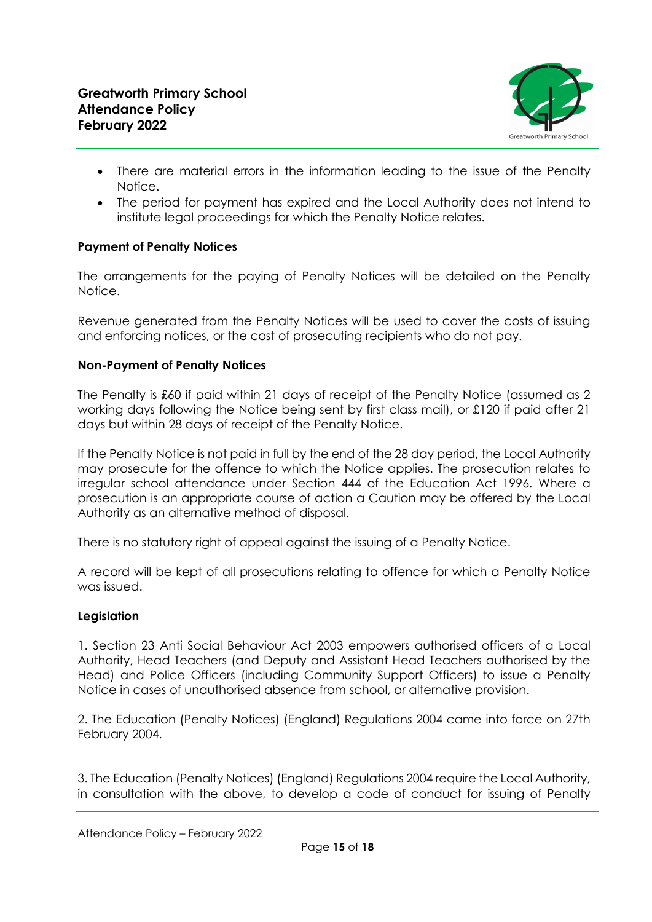

- There are material errors in the information leading to the issue of the Penalty Notice.
- The period for payment has expired and the Local Authority does not intend to institute legal proceedings for which the Penalty Notice relates.

## **Payment of Penalty Notices**

The arrangements for the paying of Penalty Notices will be detailed on the Penalty Notice.

Revenue generated from the Penalty Notices will be used to cover the costs of issuing and enforcing notices, or the cost of prosecuting recipients who do not pay.

## **Non-Payment of Penalty Notices**

The Penalty is £60 if paid within 21 days of receipt of the Penalty Notice (assumed as 2 working days following the Notice being sent by first class mail), or £120 if paid after 21 days but within 28 days of receipt of the Penalty Notice.

If the Penalty Notice is not paid in full by the end of the 28 day period, the Local Authority may prosecute for the offence to which the Notice applies. The prosecution relates to irregular school attendance under Section 444 of the Education Act 1996. Where a prosecution is an appropriate course of action a Caution may be offered by the Local Authority as an alternative method of disposal.

There is no statutory right of appeal against the issuing of a Penalty Notice.

A record will be kept of all prosecutions relating to offence for which a Penalty Notice was issued.

## **Legislation**

1. Section 23 Anti Social Behaviour Act 2003 empowers authorised officers of a Local Authority, Head Teachers (and Deputy and Assistant Head Teachers authorised by the Head) and Police Officers (including Community Support Officers) to issue a Penalty Notice in cases of unauthorised absence from school, or alternative provision.

2. The Education (Penalty Notices) (England) Regulations 2004 came into force on 27th February 2004.

3. The Education (Penalty Notices) (England) Regulations 2004 require the Local Authority, in consultation with the above, to develop a code of conduct for issuing of Penalty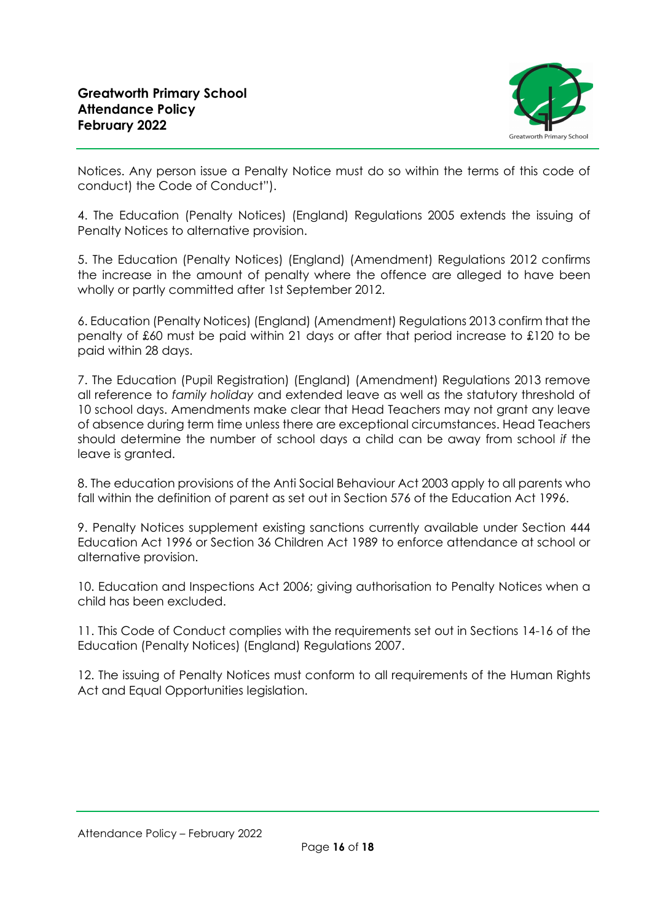

Notices. Any person issue a Penalty Notice must do so within the terms of this code of conduct) the Code of Conduct").

4. The Education (Penalty Notices) (England) Regulations 2005 extends the issuing of Penalty Notices to alternative provision.

5. The Education (Penalty Notices) (England) (Amendment) Regulations 2012 confirms the increase in the amount of penalty where the offence are alleged to have been wholly or partly committed after 1st September 2012.

6. Education (Penalty Notices) (England) (Amendment) Regulations 2013 confirm that the penalty of £60 must be paid within 21 days or after that period increase to £120 to be paid within 28 days.

7. The Education (Pupil Registration) (England) (Amendment) Regulations 2013 remove all reference to *family holiday* and extended leave as well as the statutory threshold of 10 school days. Amendments make clear that Head Teachers may not grant any leave of absence during term time unless there are exceptional circumstances. Head Teachers should determine the number of school days a child can be away from school *if* the leave is granted.

8. The education provisions of the Anti Social Behaviour Act 2003 apply to all parents who fall within the definition of parent as set out in Section 576 of the Education Act 1996.

9. Penalty Notices supplement existing sanctions currently available under Section 444 Education Act 1996 or Section 36 Children Act 1989 to enforce attendance at school or alternative provision.

10. Education and Inspections Act 2006; giving authorisation to Penalty Notices when a child has been excluded.

11. This Code of Conduct complies with the requirements set out in Sections 14-16 of the Education (Penalty Notices) (England) Regulations 2007.

12. The issuing of Penalty Notices must conform to all requirements of the Human Rights Act and Equal Opportunities legislation.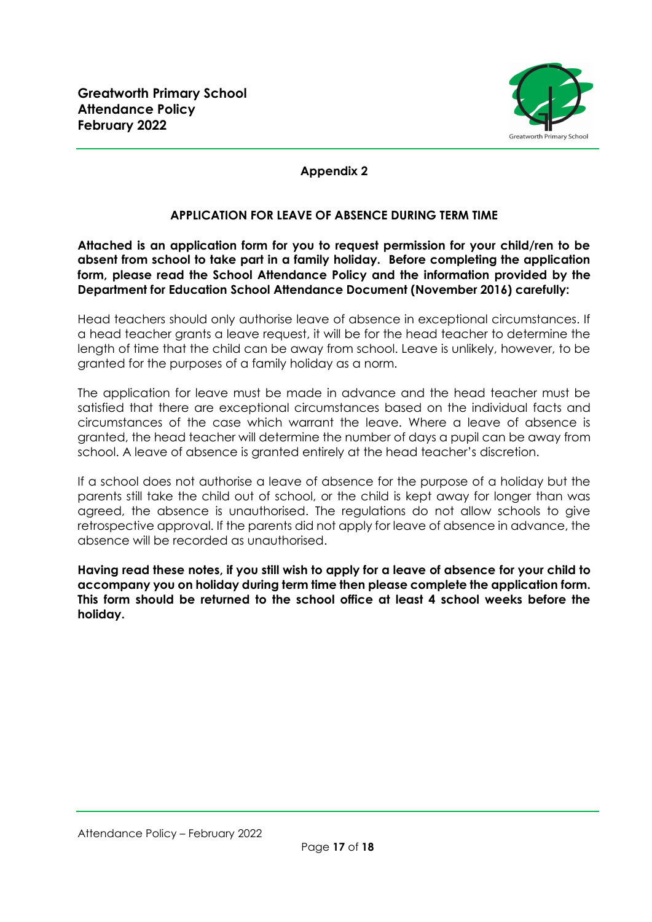

## **Appendix 2**

## **APPLICATION FOR LEAVE OF ABSENCE DURING TERM TIME**

**Attached is an application form for you to request permission for your child/ren to be absent from school to take part in a family holiday. Before completing the application form, please read the School Attendance Policy and the information provided by the Department for Education School Attendance Document (November 2016) carefully:**

Head teachers should only authorise leave of absence in exceptional circumstances. If a head teacher grants a leave request, it will be for the head teacher to determine the length of time that the child can be away from school. Leave is unlikely, however, to be granted for the purposes of a family holiday as a norm.

The application for leave must be made in advance and the head teacher must be satisfied that there are exceptional circumstances based on the individual facts and circumstances of the case which warrant the leave. Where a leave of absence is granted, the head teacher will determine the number of days a pupil can be away from school. A leave of absence is granted entirely at the head teacher's discretion.

If a school does not authorise a leave of absence for the purpose of a holiday but the parents still take the child out of school, or the child is kept away for longer than was agreed, the absence is unauthorised. The regulations do not allow schools to give retrospective approval. If the parents did not apply for leave of absence in advance, the absence will be recorded as unauthorised.

**Having read these notes, if you still wish to apply for a leave of absence for your child to accompany you on holiday during term time then please complete the application form. This form should be returned to the school office at least 4 school weeks before the holiday.**